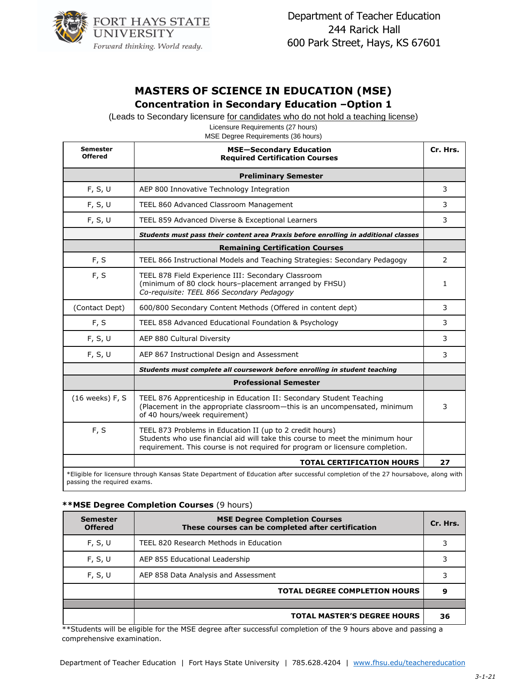

# **MASTERS OF SCIENCE IN EDUCATION (MSE)**

#### **Concentration in Secondary Education –Option 1**

(Leads to Secondary licensure for candidates who do not hold a teaching license)

Licensure Requirements (27 hours) MSE Degree Requirements (36 hours)

| Semester<br><b>Offered</b> | <b>MSE-Secondary Education</b><br><b>Required Certification Courses</b>                                                                                                                                                    | Cr. Hrs. |  |  |
|----------------------------|----------------------------------------------------------------------------------------------------------------------------------------------------------------------------------------------------------------------------|----------|--|--|
|                            | <b>Preliminary Semester</b>                                                                                                                                                                                                |          |  |  |
| F, S, U                    | AEP 800 Innovative Technology Integration                                                                                                                                                                                  | 3        |  |  |
| F, S, U                    | TEEL 860 Advanced Classroom Management                                                                                                                                                                                     | 3        |  |  |
| F, S, U                    | TEEL 859 Advanced Diverse & Exceptional Learners                                                                                                                                                                           | 3        |  |  |
|                            | Students must pass their content area Praxis before enrolling in additional classes                                                                                                                                        |          |  |  |
|                            | <b>Remaining Certification Courses</b>                                                                                                                                                                                     |          |  |  |
| F, S                       | TEEL 866 Instructional Models and Teaching Strategies: Secondary Pedagogy                                                                                                                                                  | 2        |  |  |
| F, S                       | TEEL 878 Field Experience III: Secondary Classroom<br>(minimum of 80 clock hours-placement arranged by FHSU)<br>Co-requisite: TEEL 866 Secondary Pedagogy                                                                  | 1        |  |  |
| (Contact Dept)             | 600/800 Secondary Content Methods (Offered in content dept)                                                                                                                                                                | 3        |  |  |
| F, S                       | TEEL 858 Advanced Educational Foundation & Psychology                                                                                                                                                                      | 3        |  |  |
| F, S, U                    | AEP 880 Cultural Diversity                                                                                                                                                                                                 | 3        |  |  |
| F, S, U                    | AEP 867 Instructional Design and Assessment                                                                                                                                                                                | 3        |  |  |
|                            | Students must complete all coursework before enrolling in student teaching                                                                                                                                                 |          |  |  |
|                            | <b>Professional Semester</b>                                                                                                                                                                                               |          |  |  |
| (16 weeks) F, S            | TEEL 876 Apprenticeship in Education II: Secondary Student Teaching<br>(Placement in the appropriate classroom-this is an uncompensated, minimum<br>of 40 hours/week requirement)                                          | 3        |  |  |
| F, S                       | TEEL 873 Problems in Education II (up to 2 credit hours)<br>Students who use financial aid will take this course to meet the minimum hour<br>requirement. This course is not required for program or licensure completion. |          |  |  |
|                            | <b>TOTAL CERTIFICATION HOURS</b>                                                                                                                                                                                           | 27       |  |  |
|                            | *Eligible for licensure through Kansas State Department of Education after successful completion of the 27 hoursabove, along with<br>passing the required exams.                                                           |          |  |  |

#### **\*\*MSE Degree Completion Courses** (9 hours)

| <b>Semester</b><br><b>Offered</b> | <b>MSE Degree Completion Courses</b><br>These courses can be completed after certification | Cr. Hrs. |
|-----------------------------------|--------------------------------------------------------------------------------------------|----------|
| F, S, U                           | TEEL 820 Research Methods in Education                                                     |          |
| F, S, U                           | AEP 855 Educational Leadership                                                             |          |
| F, S, U                           | AEP 858 Data Analysis and Assessment                                                       |          |
|                                   | <b>TOTAL DEGREE COMPLETION HOURS</b>                                                       |          |
|                                   |                                                                                            |          |
|                                   | <b>TOTAL MASTER'S DEGREE HOURS</b>                                                         | 36       |

\*\*Students will be eligible for the MSE degree after successful completion of the 9 hours above and passing a comprehensive examination.